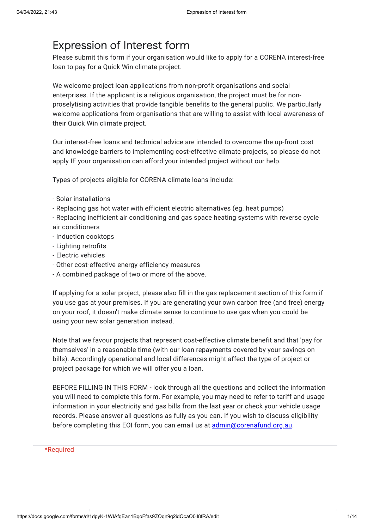# Expression of Interest form

Please submit this form if your organisation would like to apply for a CORENA interest-free loan to pay for a Quick Win climate project.

We welcome project loan applications from non-profit organisations and social enterprises. If the applicant is a religious organisation, the project must be for nonproselytising activities that provide tangible benefits to the general public. We particularly welcome applications from organisations that are willing to assist with local awareness of their Quick Win climate project.

Our interest-free loans and technical advice are intended to overcome the up-front cost and knowledge barriers to implementing cost-effective climate projects, so please do not apply IF your organisation can afford your intended project without our help.

Types of projects eligible for CORENA climate loans include:

- Solar installations
- Replacing gas hot water with efficient electric alternatives (eg. heat pumps)
- Replacing inefficient air conditioning and gas space heating systems with reverse cycle air conditioners
- Induction cooktops
- Lighting retrofits
- Electric vehicles
- Other cost-effective energy efficiency measures
- A combined package of two or more of the above.

If applying for a solar project, please also fill in the gas replacement section of this form if you use gas at your premises. If you are generating your own carbon free (and free) energy on your roof, it doesn't make climate sense to continue to use gas when you could be using your new solar generation instead.

Note that we favour projects that represent cost-effective climate benefit and that 'pay for themselves' in a reasonable time (with our loan repayments covered by your savings on bills). Accordingly operational and local differences might affect the type of project or project package for which we will offer you a loan.

BEFORE FILLING IN THIS FORM - look through all the questions and collect the information you will need to complete this form. For example, you may need to refer to tariff and usage information in your electricity and gas bills from the last year or check your vehicle usage records. Please answer all questions as fully as you can. If you wish to discuss eligibility before completing this EOI form, you can email us at [admin@corenafund.org.au](mailto:admin@corenafund.org.au).

### \*Required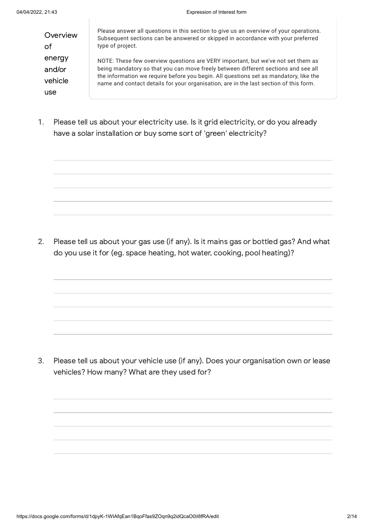**Overview** of energy and/or vehicle use

Please answer all questions in this section to give us an overview of your operations. Subsequent sections can be answered or skipped in accordance with your preferred type of project.

NOTE: These few overview questions are VERY important, but we've not set them as being mandatory so that you can move freely between different sections and see all the information we require before you begin. All questions set as mandatory, like the name and contact details for your organisation, are in the last section of this form.

1. Please tell us about your electricity use. Is it grid electricity, or do you already have a solar installation or buy some sort of 'green' electricity?

2. Please tell us about your gas use (if any). Is it mains gas or bottled gas? And what do you use it for (eg. space heating, hot water, cooking, pool heating)?

3. Please tell us about your vehicle use (if any). Does your organisation own or lease vehicles? How many? What are they used for?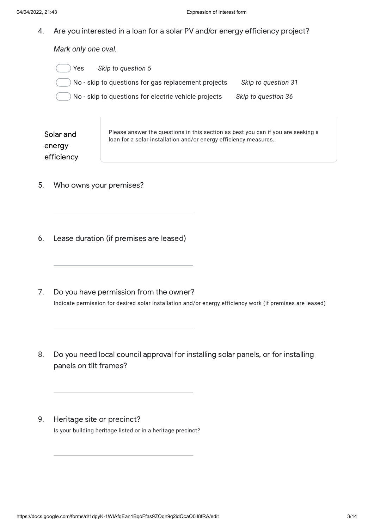4. Are you interested in a loan for a solar PV and/or energy efficiency project?

*Mark only one oval.*

- Yes *Skip to question 5*
- No skip to questions for gas replacement projects *Skip to question 31*
- No skip to questions for electric vehicle projects *Skip to question 36*

Solar and energy efficiency Please answer the questions in this section as best you can if you are seeking a loan for a solar installation and/or energy efficiency measures.

- 5. Who owns your premises?
- 6. Lease duration (if premises are leased)
- 7. Do you have permission from the owner? Indicate permission for desired solar installation and/or energy efficiency work (if premises are leased)
- 8. Do you need local council approval for installing solar panels, or for installing panels on tilt frames?
- 9. Heritage site or precinct? Is your building heritage listed or in a heritage precinct?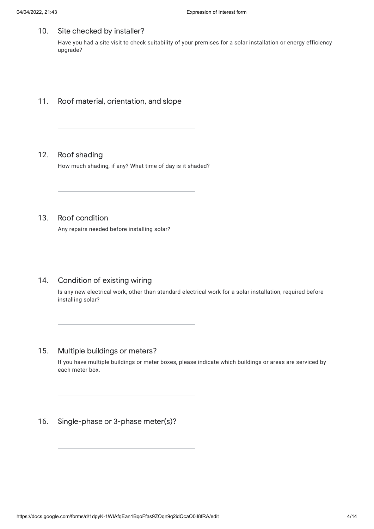10. Site checked by installer?

> Have you had a site visit to check suitability of your premises for a solar installation or energy efficiency upgrade?

- 11. Roof material, orientation, and slope
- 12. Roof shading How much shading, if any? What time of day is it shaded?
- 13. Roof condition

Any repairs needed before installing solar?

14. Condition of existing wiring

> Is any new electrical work, other than standard electrical work for a solar installation, required before installing solar?

15. Multiple buildings or meters?

> If you have multiple buildings or meter boxes, please indicate which buildings or areas are serviced by each meter box.

16. Single-phase or 3-phase meter(s)?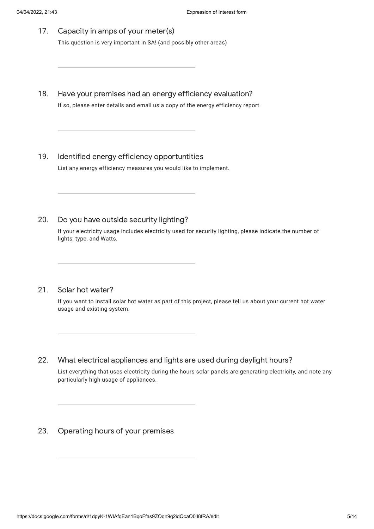- 17. Capacity in amps of your meter(s) This question is very important in SA! (and possibly other areas)
- 18. Have your premises had an energy efficiency evaluation? If so, please enter details and email us a copy of the energy efficiency report.
- 19. Identified energy efficiency opportuntities List any energy efficiency measures you would like to implement.
- 20. Do you have outside security lighting?

If your electricity usage includes electricity used for security lighting, please indicate the number of lights, type, and Watts.

21. Solar hot water?

> If you want to install solar hot water as part of this project, please tell us about your current hot water usage and existing system.

22. What electrical appliances and lights are used during daylight hours?

List everything that uses electricity during the hours solar panels are generating electricity, and note any particularly high usage of appliances.

23. Operating hours of your premises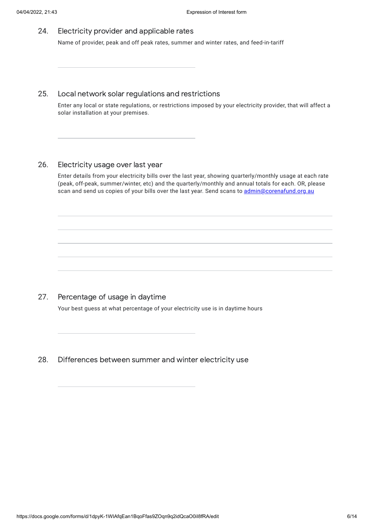24. Electricity provider and applicable rates

Name of provider, peak and off peak rates, summer and winter rates, and feed-in-tariff

#### 25. Local network solar regulations and restrictions

Enter any local or state regulations, or restrictions imposed by your electricity provider, that will affect a solar installation at your premises.

#### 26. Electricity usage over last year

Enter details from your electricity bills over the last year, showing quarterly/monthly usage at each rate (peak, off-peak, summer/winter, etc) and the quarterly/monthly and annual totals for each. OR, please scan and send us copies of your bills over the last year. Send scans to [admin@corenafund.org.au](mailto:admin@corenafund.org.au)

#### 27. Percentage of usage in daytime

Your best guess at what percentage of your electricity use is in daytime hours

28. Differences between summer and winter electricity use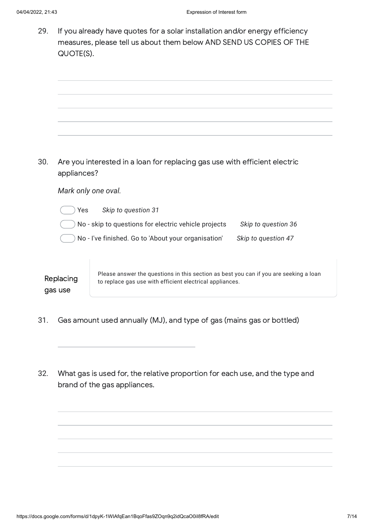29.

| 29. | QUOTE(S).            | If you already have quotes for a solar installation and/or energy efficiency<br>measures, please tell us about them below AND SEND US COPIES OF THE |                     |
|-----|----------------------|-----------------------------------------------------------------------------------------------------------------------------------------------------|---------------------|
|     |                      |                                                                                                                                                     |                     |
|     |                      |                                                                                                                                                     |                     |
| 30. | appliances?          | Are you interested in a loan for replacing gas use with efficient electric                                                                          |                     |
|     |                      | Mark only one oval.                                                                                                                                 |                     |
|     | Yes                  | Skip to question 31                                                                                                                                 |                     |
|     |                      | No - skip to questions for electric vehicle projects                                                                                                | Skip to question 36 |
|     |                      | No - I've finished. Go to 'About your organisation'                                                                                                 | Skip to question 47 |
|     | Replacing<br>gas use | Please answer the questions in this section as best you can if you are seeking a loan<br>to replace gas use with efficient electrical appliances.   |                     |
|     |                      |                                                                                                                                                     |                     |

- 31. Gas amount used annually (MJ), and type of gas (mains gas or bottled)
- 32. What gas is used for, the relative proportion for each use, and the type and brand of the gas appliances.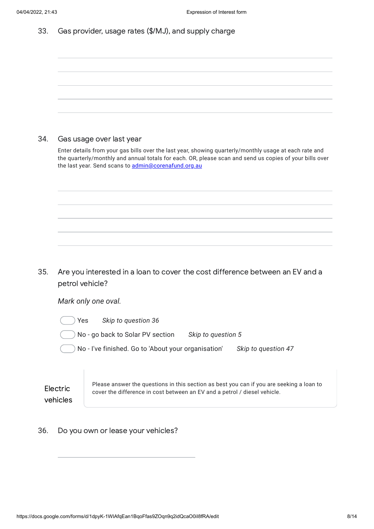| Gas provider, usage rates (\$/MJ), and supply charge<br>33. |  |
|-------------------------------------------------------------|--|
|-------------------------------------------------------------|--|

| 34. | Gas usage over last year<br>Enter details from your gas bills over the last year, showing quarterly/monthly usage at each rate and<br>the quarterly/monthly and annual totals for each. OR, please scan and send us copies of your bills over<br>the last year. Send scans to admin@corenafund.org.au |
|-----|-------------------------------------------------------------------------------------------------------------------------------------------------------------------------------------------------------------------------------------------------------------------------------------------------------|
|     |                                                                                                                                                                                                                                                                                                       |
| 35. | Are you interested in a loan to cover the cost difference between an EV and a<br>petrol vehicle?                                                                                                                                                                                                      |
|     | Mark only one oval.                                                                                                                                                                                                                                                                                   |
|     | Skip to question 36<br>Yes                                                                                                                                                                                                                                                                            |
|     | No - go back to Solar PV section<br>Skip to question 5                                                                                                                                                                                                                                                |
|     | No - I've finished. Go to 'About your organisation'<br>Skip to question 47                                                                                                                                                                                                                            |
|     |                                                                                                                                                                                                                                                                                                       |

36. Do you own or lease your vehicles?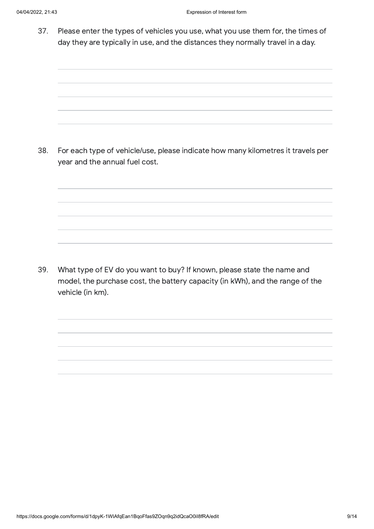37. Please enter the types of vehicles you use, what you use them for, the times of day they are typically in use, and the distances they normally travel in a day.

38. For each type of vehicle/use, please indicate how many kilometres it travels per year and the annual fuel cost.

39. What type of EV do you want to buy? If known, please state the name and model, the purchase cost, the battery capacity (in kWh), and the range of the vehicle (in km).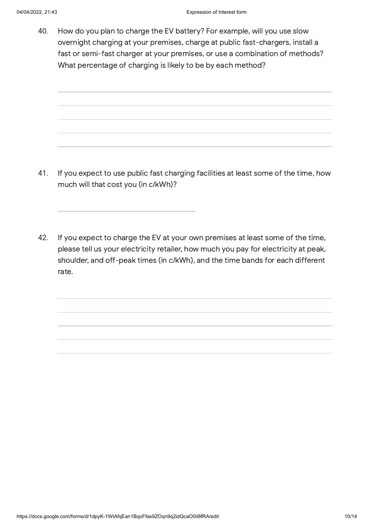40. How do you plan to charge the EV battery? For example, will you use slow overnight charging at your premises, charge at public fast-chargers, install a fast or semi-fast charger at your premises, or use a combination of methods? What percentage of charging is likely to be by each method?

- 41. If you expect to use public fast charging facilities at least some of the time, how much will that cost you (in c/kWh)?
- 42. If you expect to charge the EV at your own premises at least some of the time, please tell us your electricity retailer, how much you pay for electricity at peak, shoulder, and off-peak times (in c/kWh), and the time bands for each different rate.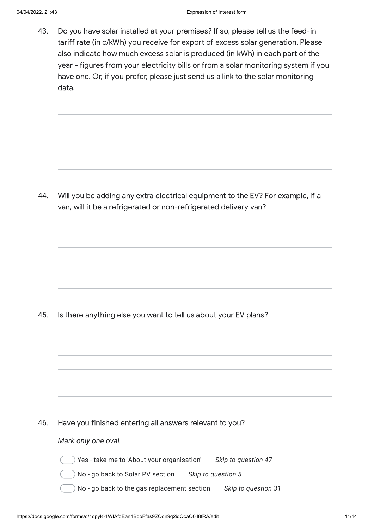43. Do you have solar installed at your premises? If so, please tell us the feed-in tariff rate (in c/kWh) you receive for export of excess solar generation. Please also indicate how much excess solar is produced (in kWh) in each part of the year - figures from your electricity bills or from a solar monitoring system if you have one. Or, if you prefer, please just send us a link to the solar monitoring data.

44. Will you be adding any extra electrical equipment to the EV? For example, if a van, will it be a refrigerated or non-refrigerated delivery van?

45. Is there anything else you want to tell us about your EV plans?

46. Have you finished entering all answers relevant to you?

*Mark only one oval.*

Yes - take me to 'About your organisation' *Skip to question 47*

- No go back to Solar PV section *Skip to question 5*
- No go back to the gas replacement section *Skip to question 31*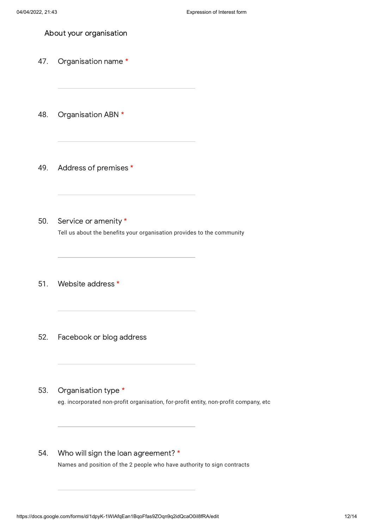About your organisation

- 47. Organisation name \*
- 48. Organisation ABN \*
- 49. Address of premises \*
- 50. Service or amenity \* Tell us about the benefits your organisation provides to the community
- 51. Website address \*
- 52. Facebook or blog address
- 53. Organisation type \* eg. incorporated non-profit organisation, for-profit entity, non-profit company, etc
- 54. Who will sign the loan agreement? \* Names and position of the 2 people who have authority to sign contracts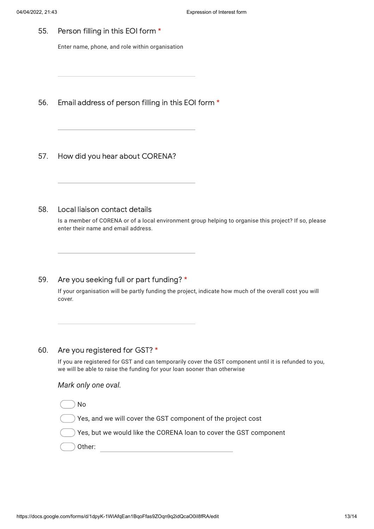55. Person filling in this EOI form \*

Enter name, phone, and role within organisation

- 56. Email address of person filling in this EOI form \*
- 57. How did you hear about CORENA?
- 58. Local liaison contact details

Is a member of CORENA or of a local environment group helping to organise this project? If so, please enter their name and email address.

59. Are you seeking full or part funding? \*

> If your organisation will be partly funding the project, indicate how much of the overall cost you will cover.

60. Are you registered for GST? \*

> If you are registered for GST and can temporarily cover the GST component until it is refunded to you, we will be able to raise the funding for your loan sooner than otherwise

## *Mark only one oval.*

No

Yes, and we will cover the GST component of the project cost

Yes, but we would like the CORENA loan to cover the GST component

Other: